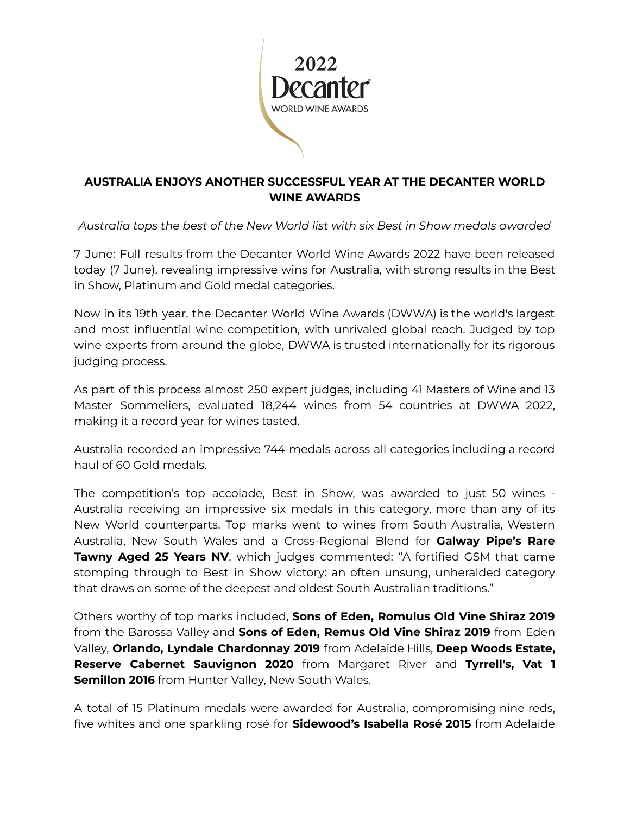

# **AUSTRALIA ENJOYS ANOTHER SUCCESSFUL YEAR AT THE DECANTER WORLD WINE AWARDS**

*Australia tops the best of the New World list with six Best in Show medals awarded*

7 June: Full results from the Decanter World Wine Awards 2022 have been released today (7 June), revealing impressive wins for Australia, with strong results in the Best in Show, Platinum and Gold medal categories.

Now in its 19th year, the Decanter World Wine Awards (DWWA) is the world's largest and most influential wine competition, with unrivaled global reach. Judged by top wine experts from around the globe, DWWA is trusted internationally for its rigorous judging process.

As part of this process almost 250 expert judges, including 41 Masters of Wine and 13 Master Sommeliers, evaluated 18,244 wines from 54 countries at DWWA 2022, making it a record year for wines tasted.

Australia recorded an impressive 744 medals across all categories including a record haul of 60 Gold medals.

The competition's top accolade, Best in Show, was awarded to just 50 wines - Australia receiving an impressive six medals in this category, more than any of its New World counterparts. Top marks went to wines from South Australia, Western Australia, New South Wales and a Cross-Regional Blend for **Galway Pipe's Rare Tawny Aged 25 Years NV**, which judges commented: "A fortified GSM that came stomping through to Best in Show victory: an often unsung, unheralded category that draws on some of the deepest and oldest South Australian traditions."

Others worthy of top marks included, **Sons of Eden, Romulus Old Vine Shiraz 2019** from the Barossa Valley and **Sons of Eden, Remus Old Vine Shiraz 2019** from Eden Valley, **Orlando, Lyndale Chardonnay 2019** from Adelaide Hills, **Deep Woods Estate, Reserve Cabernet Sauvignon 2020** from Margaret River and **Tyrrell's, Vat 1 Semillon 2016** from Hunter Valley, New South Wales.

A total of 15 Platinum medals were awarded for Australia, compromising nine reds, five whites and one sparkling rosé for **Sidewood's Isabella Rosé 2015** from Adelaide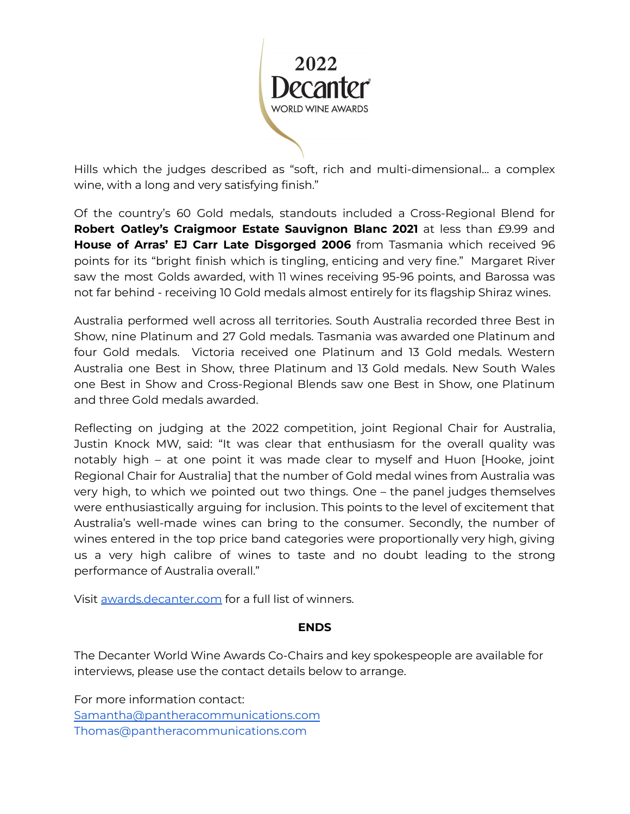

Hills which the judges described as "soft, rich and multi-dimensional… a complex wine, with a long and very satisfying finish."

Of the country's 60 Gold medals, standouts included a Cross-Regional Blend for **Robert Oatley's Craigmoor Estate Sauvignon Blanc 2021** at less than £9.99 and **House of Arras' EJ Carr Late Disgorged 2006** from Tasmania which received 96 points for its "bright finish which is tingling, enticing and very fine." Margaret River saw the most Golds awarded, with 11 wines receiving 95-96 points, and Barossa was not far behind - receiving 10 Gold medals almost entirely for its flagship Shiraz wines.

Australia performed well across all territories. South Australia recorded three Best in Show, nine Platinum and 27 Gold medals. Tasmania was awarded one Platinum and four Gold medals. Victoria received one Platinum and 13 Gold medals. Western Australia one Best in Show, three Platinum and 13 Gold medals. New South Wales one Best in Show and Cross-Regional Blends saw one Best in Show, one Platinum and three Gold medals awarded.

Reflecting on judging at the 2022 competition, joint Regional Chair for Australia, Justin Knock MW, said: "It was clear that enthusiasm for the overall quality was notably high – at one point it was made clear to myself and Huon [Hooke, joint Regional Chair for Australia] that the number of Gold medal wines from Australia was very high, to which we pointed out two things. One – the panel judges themselves were enthusiastically arguing for inclusion. This points to the level of excitement that Australia's well-made wines can bring to the consumer. Secondly, the number of wines entered in the top price band categories were proportionally very high, giving us a very high calibre of wines to taste and no doubt leading to the strong performance of Australia overall."

Visit [awards.decanter.com](http://awards.decanter.com) for a full list of winners.

#### **ENDS**

The Decanter World Wine Awards Co-Chairs and key spokespeople are available for interviews, please use the contact details below to arrange.

For more information contact: [Samantha@pantheracommunications.com](mailto:Samantha@pantheracommunications.com) Thomas@pantheracommunications.com